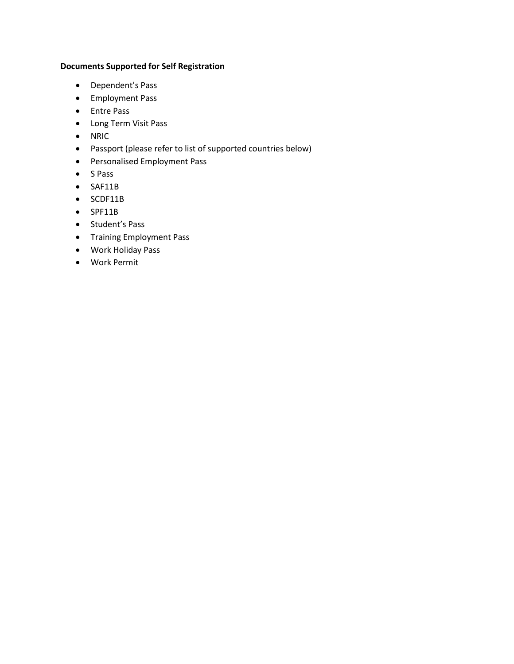## **Documents Supported for Self Registration**

- Dependent's Pass
- Employment Pass
- Entre Pass
- Long Term Visit Pass
- NRIC
- Passport (please refer to list of supported countries below)
- Personalised Employment Pass
- S Pass
- SAF11B
- SCDF11B
- SPF11B
- Student's Pass
- Training Employment Pass
- Work Holiday Pass
- Work Permit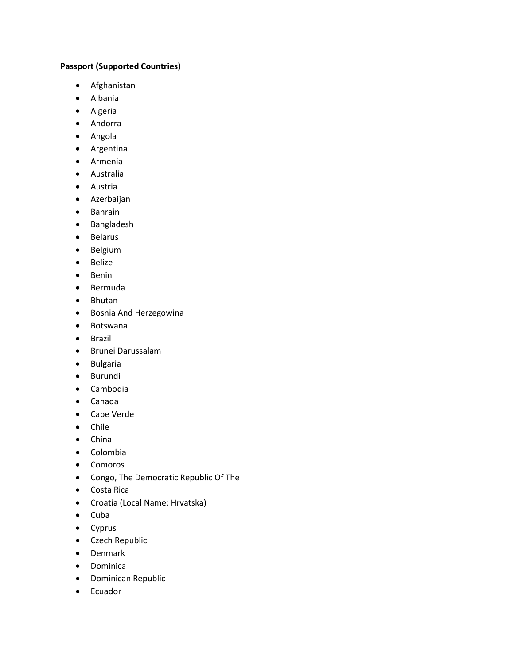## **Passport (Supported Countries)**

- Afghanistan
- Albania
- Algeria
- Andorra
- Angola
- Argentina
- Armenia
- Australia
- Austria
- Azerbaijan
- Bahrain
- Bangladesh
- Belarus
- Belgium
- Belize
- Benin
- Bermuda
- Bhutan
- Bosnia And Herzegowina
- Botswana
- Brazil
- Brunei Darussalam
- Bulgaria
- Burundi
- Cambodia
- Canada
- Cape Verde
- Chile
- China
- Colombia
- Comoros
- Congo, The Democratic Republic Of The
- Costa Rica
- Croatia (Local Name: Hrvatska)
- Cuba
- Cyprus
- Czech Republic
- Denmark
- Dominica
- Dominican Republic
- Ecuador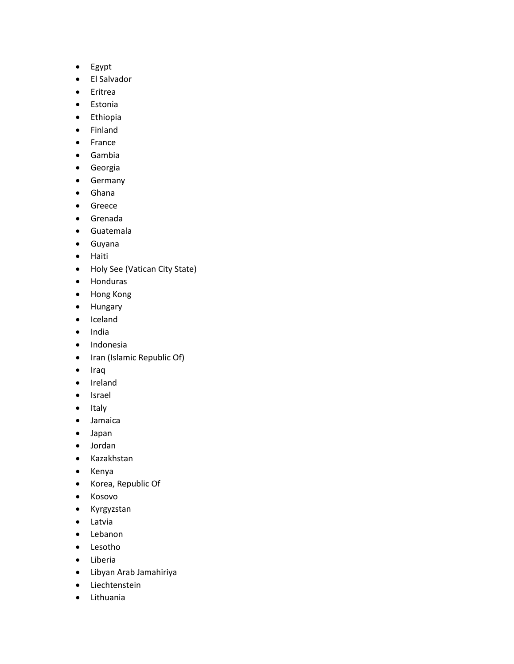- Egypt
- El Salvador
- Eritrea
- Estonia
- Ethiopia
- Finland
- France
- Gambia
- Georgia
- Germany
- Ghana
- Greece
- Grenada
- Guatemala
- Guyana
- Haiti
- Holy See (Vatican City State)
- Honduras
- Hong Kong
- Hungary
- Iceland
- India
- Indonesia
- Iran (Islamic Republic Of)
- Iraq
- Ireland
- Israel
- Italy
- Jamaica
- Japan
- Jordan
- Kazakhstan
- Kenya
- Korea, Republic Of
- Kosovo
- Kyrgyzstan
- Latvia
- Lebanon
- Lesotho
- Liberia
- Libyan Arab Jamahiriya
- Liechtenstein
- Lithuania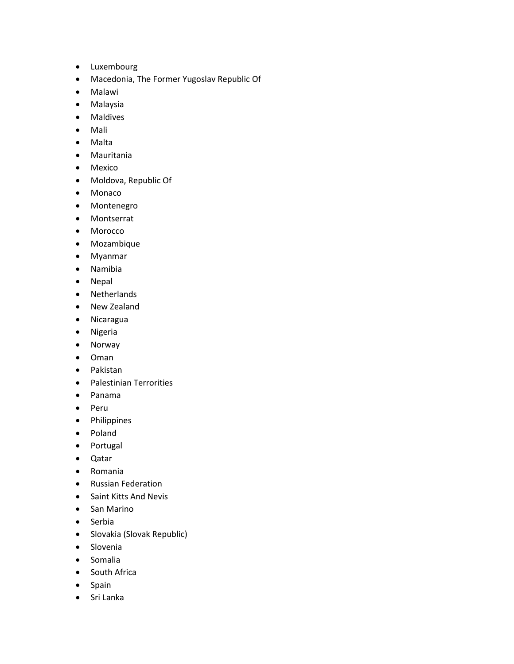- Luxembourg
- Macedonia, The Former Yugoslav Republic Of
- Malawi
- Malaysia
- Maldives
- Mali
- Malta
- Mauritania
- Mexico
- Moldova, Republic Of
- Monaco
- Montenegro
- Montserrat
- Morocco
- Mozambique
- Myanmar
- Namibia
- Nepal
- Netherlands
- New Zealand
- Nicaragua
- Nigeria
- Norway
- Oman
- Pakistan
- Palestinian Terrorities
- Panama
- Peru
- Philippines
- Poland
- Portugal
- Qatar
- Romania
- Russian Federation
- Saint Kitts And Nevis
- San Marino
- Serbia
- Slovakia (Slovak Republic)
- Slovenia
- Somalia
- South Africa
- Spain
- Sri Lanka